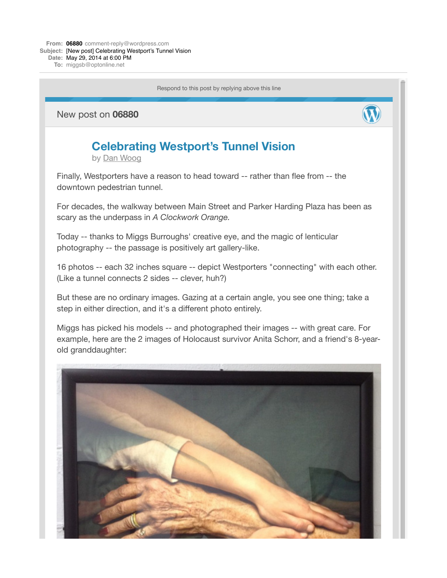New post on **06880**



## **[Celebrating Westport's Tunnel Vision](http://06880danwoog.com/2014/05/29/celebrating-westports-tunnel-vision/)** by [Dan Woog](http://06880danwoog.com/author/dwoog/)

Finally, Westporters have a reason to head toward -- rather than flee from -- the downtown pedestrian tunnel.

For decades, the walkway between Main Street and Parker Harding Plaza has been as scary as the underpass in *A Clockwork Orange.*

Today -- thanks to Miggs Burroughs' creative eye, and the magic of lenticular photography -- the passage is positively art gallery-like.

16 photos -- each 32 inches square -- depict Westporters "connecting" with each other. (Like a tunnel connects 2 sides -- clever, huh?)

But these are no ordinary images. Gazing at a certain angle, you see one thing; take a step in either direction, and it's a different photo entirely.

Miggs has picked his models -- and photographed their images -- with great care. For example, here are the 2 images of Holocaust survivor Anita Schorr, and a friend's 8-yearold granddaughter:

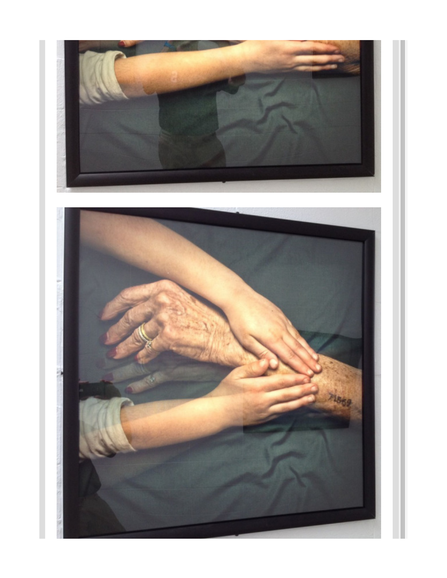

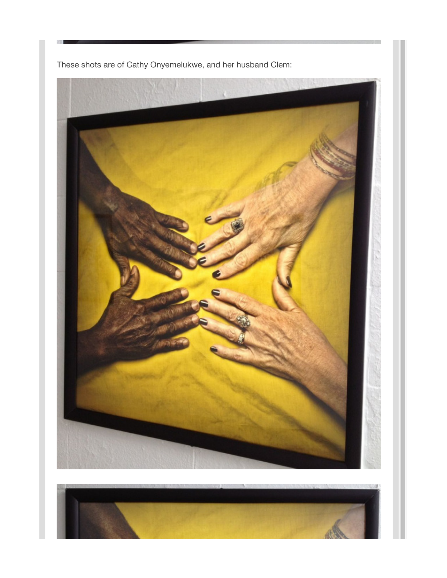These shots are of Cathy Onyemelukwe, and her husband Clem:



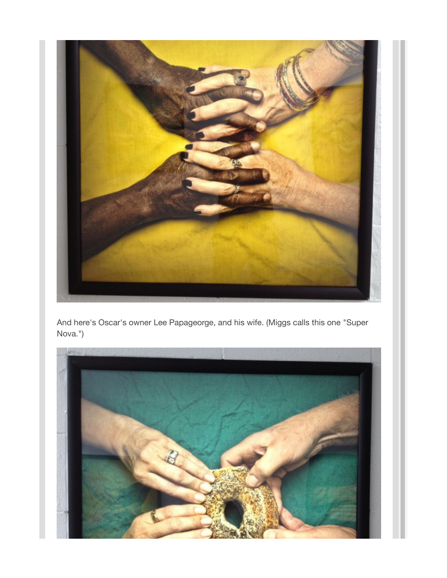

And here's Oscar's owner Lee Papageorge, and his wife. (Miggs calls this one "Super Nova.")

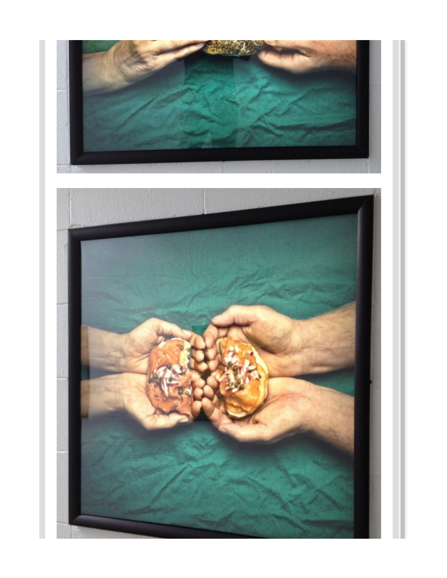